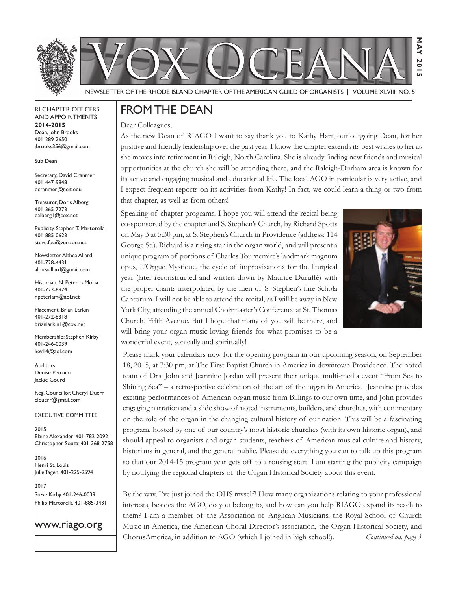

Newsletter of the rhode IslaNd Chapter of the amerICaN GuIld of orGaNIsts | Volume XlVIII, No. 5

#### rI Chapter offICers aNd appoINtmeNts **2014-2015** Dean, John Brooks 401-289-2650 jbrooks356@gmail.com

<code>Sub</code> Dean

Secretary, David Cranmer 401-447-9848 dcranmer@neit.edu

Treasurer, Doris Alberg 401-365-7273 dalberg1@cox.net

I Publicity, Stephen T. Martorella 401-885-0623 steve.fbc@verizon.net

Newsletter, Althea Allard 401-728-4431 altheaallard@gmail.com

historian, N. peter lamoria 401-723-6974 npeterlam@aol.net

placement, Brian larkin 401-272-8318 brianlarkin1@cox.net

Membership: Stephen Kirby 401-246-0039 kev14@aol.com

Auditors: Denise Petrucci Jackie Gourd

Reg. Councillor, Cheryl Duerr clduerr@gmail.com

eXeCutIVe CommIttee

2015 Elaine Alexander: 401-782-2092 Christopher souza: 401-368-2758

2016 henri st. louis ulie Tagen: 401-225-9594

2017 steve Kirby 401-246-0039 philip martorella 401-885-3431

### www.riago.org

## from the deaN

#### Dear Colleagues,

As the new Dean of RIAGO I want to say thank you to Kathy Hart, our outgoing Dean, for her positive and friendly leadership over the past year. I know the chapter extends its best wishes to her as she moves into retirement in Raleigh, North Carolina. She is already fnding new friends and musical opportunities at the church she will be attending there, and the Raleigh-Durham area is known for its active and engaging musical and educational life. The local AGO in particular is very active, and I expect frequent reports on its activities from Kathy! In fact, we could learn a thing or two from that chapter, as well as from others!

Speaking of chapter programs, I hope you will attend the recital being co-sponsored by the chapter and S. Stephen's Church, by Richard Spotts on May 3 at 5:30 pm, at S. Stephen's Church in Providence (address: 114 George St.). Richard is a rising star in the organ world, and will present a unique program of portions of Charles Tournemire's landmark magnum opus, L'Orgue Mystique, the cycle of improvisations for the liturgical year (later reconstructed and written down by Maurice Durufé) with the proper chants interpolated by the men of S. Stephen's fne Schola Cantorum. I will not be able to attend the recital, as I will be away in New York City, attending the annual Choirmaster's Conference at St. Thomas Church, Fifth Avenue. But I hope that many of you will be there, and will bring your organ-music-loving friends for what promises to be a wonderful event, sonically and spiritually!



Please mark your calendars now for the opening program in our upcoming season, on September 18, 2015, at 7:30 pm, at The First Baptist Church in America in downtown Providence. The noted team of Drs. John and Jeannine Jordan will present their unique multi-media event "From Sea to Shining Sea" – a retrospective celebration of the art of the organ in America. Jeannine provides exciting performances of American organ music from Billings to our own time, and John provides engaging narration and a slide show of noted instruments, builders, and churches, with commentary on the role of the organ in the changing cultural history of our nation. This will be a fascinating program, hosted by one of our country's most historic churches (with its own historic organ), and should appeal to organists and organ students, teachers of American musical culture and history, historians in general, and the general public. Please do everything you can to talk up this program so that our 2014-15 program year gets off to a rousing start! I am starting the publicity campaign by notifying the regional chapters of the Organ Historical Society about this event.

By the way, I've just joined the OHS myself! How many organizations relating to your professional interests, besides the AGO, do you belong to, and how can you help RIAGO expand its reach to them? I am a member of the Association of Anglican Musicians, the Royal School of Church Music in America, the American Choral Director's association, the Organ Historical Society, and ChorusAmerica, in addition to AGO (which I joined in high school!). *Continued on. page 3*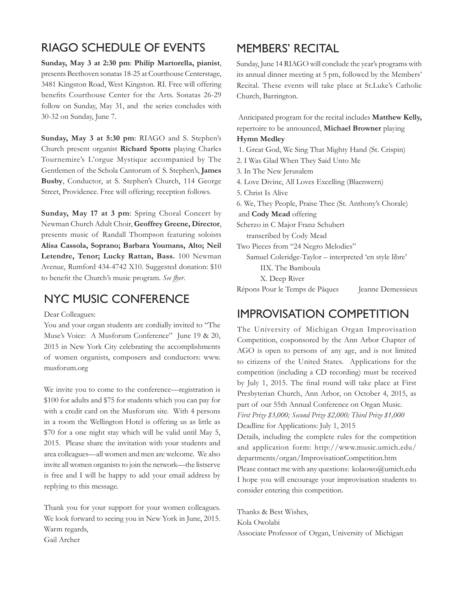## rIaGo sChedule of eVeNts

**Sunday, May 3 at 2:30 pm**: **Philip Martorella, pianist**, presents Beethoven sonatas 18-25 at Courthouse Centerstage, 3481 Kingston Road, West Kingston. RI. Free will offering benefts Courthouse Center for the Arts. Sonatas 26-29 follow on Sunday, May 31, and the series concludes with 30-32 on Sunday, June 7.

**Sunday, May 3 at 5:30 pm**: RIAGO and S. Stephen's Church present organist **Richard Spotts** playing Charles Tournemire's L'orgue Mystique accompanied by The Gentlemen of the Schola Cantorum of S. Stephen's, **James Busby**, Conductor, at S. Stephen's Church, 114 George Street, Providence. Free will offering; reception follows.

**Sunday, May 17 at 3 pm**: Spring Choral Concert by Newman Church Adult Choir, **Geoffrey Greene, Director**, presents music of Randall Thompson featuring soloists **Alisa Cassola, Soprano; Barbara Youmans, Alto; Neil Letendre, Tenor; Lucky Rattan, Bass.** 100 Newman Avenue, Rumford 434-4742 X10. Suggested donation: \$10 to beneft the Church's music program. *See fyer*.

## NYC musIC CoNfereNCe

Dear Colleagues:

You and your organ students are cordially invited to "The Muse's Voice: A Musforum Conference" June 19 & 20, 2015 in New York City celebrating the accomplishments of women organists, composers and conductors: www. musforum.org

We invite you to come to the conference—registration is \$100 for adults and \$75 for students which you can pay for with a credit card on the Musforum site. With 4 persons in a room the Wellington Hotel is offering us as little as \$70 for a one night stay which will be valid until May 5, 2015. Please share the invitation with your students and area colleagues—all women and men are welcome. We also invite all women organists to join the network—the listserve is free and I will be happy to add your email address by replying to this message.

Thank you for your support for your women colleagues. We look forward to seeing you in New York in June, 2015. Warm regards, Gail Archer

## memBers' reCItal

Sunday, June 14 RIAGO will conclude the year's programs with its annual dinner meeting at 5 pm, followed by the Members' Recital. These events will take place at St.Luke's Catholic Church, Barrington.

 Anticipated program for the recital includes **Matthew Kelly,**  repertoire to be announced, **Michael Browner** playing **Hymn Medley**

1. Great God, We Sing That Mighty Hand (St. Crispin)

2. I Was Glad When They Said Unto Me

3. In The New Jerusalem

- 4. Love Divine, All Loves Excelling (Blaenwern)
- 5. Christ Is Alive

6. We, They People, Praise Thee (St. Anthony's Chorale)

and **Cody Mead** offering

Scherzo in C Major Franz Schubert

transcribed by Cody Mead

Two Pieces from "24 Negro Melodies"

 Samuel Coleridge-Taylor – interpreted 'en style libre' IIX. The Bamboula X. Deep River

Répons Pour le Temps de Pâques Jeanne Demessieux

## ImproVIsatIoN CompetItIoN

The University of Michigan Organ Improvisation Competition, cosponsored by the Ann Arbor Chapter of AGO is open to persons of any age, and is not limited to citizens of the United States. Applications for the competition (including a CD recording) must be received by July 1, 2015. The fnal round will take place at First Presbyterian Church, Ann Arbor, on October 4, 2015, as part of our 55th Annual Conference on Organ Music. *First Prize \$3,000; Second Prize \$2,000; Third Prize \$1,000* Deadline for Applications: July 1, 2015 Details, including the complete rules for the competition and application form: http://www.music.umich.edu/ departments/organ/ImprovisationCompetition.htm Please contact me with any questions: kolaowo@umich.edu I hope you will encourage your improvisation students to consider entering this competition.

Thanks & Best Wishes, Kola Owolabi Associate Professor of Organ, University of Michigan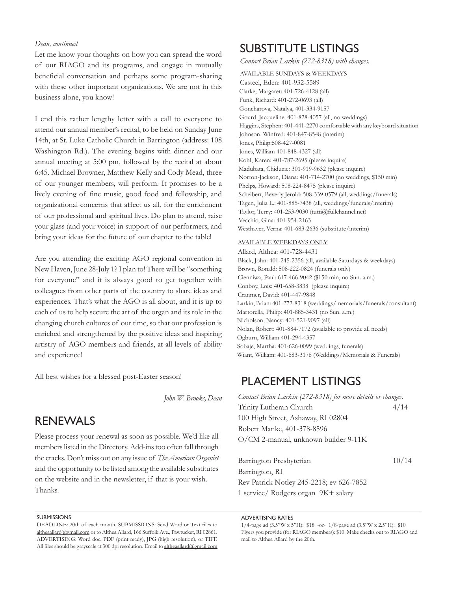#### *Dean, continued*

Let me know your thoughts on how you can spread the word of our RIAGO and its programs, and engage in mutually benefcial conversation and perhaps some program-sharing with these other important organizations. We are not in this business alone, you know!

I end this rather lengthy letter with a call to everyone to attend our annual member's recital, to be held on Sunday June 14th, at St. Luke Catholic Church in Barrington (address: 108 Washington Rd.). The evening begins with dinner and our annual meeting at 5:00 pm, followed by the recital at about 6:45. Michael Browner, Matthew kelly and Cody Mead, three of our younger members, will perform. It promises to be a lively evening of fne music, good food and fellowship, and organizational concerns that affect us all, for the enrichment of our professional and spiritual lives. Do plan to attend, raise your glass (and your voice) in support of our performers, and bring your ideas for the future of our chapter to the table!

Are you attending the exciting AGO regional convention in New Haven, June 28-July 1? I plan to! There will be "something for everyone" and it is always good to get together with colleagues from other parts of the country to share ideas and experiences. That's what the AGO is all about, and it is up to each of us to help secure the art of the organ and its role in the changing church cultures of our time, so that our profession is enriched and strengthened by the positive ideas and inspiring artistry of AGO members and friends, at all levels of ability and experience!

All best wishes for a blessed post-Easter season!

*John W. Brooks, Dean*

## **RENEWALS**

Please process your renewal as soon as possible. We'd like all members listed in the Directory. Add-ins too often fall through the cracks. Don't miss out on any issue of *The American Organist*  and the opportunity to be listed among the available substitutes on the website and in the newsletter, if that is your wish. Thanks.

# suBstItute lIstINGs

*Contact Brian Larkin (272-8318) with changes.*

AVAilABle SuNDAyS & WeekDAyS Casteel, Eden: 401-932-5589 Clarke, Margaret: 401-726-4128 (all) Funk, Richard: 401-272-0693 (all) Goncharova, Natalya, 401-334-9157 Gourd, Jacqueline: 401-828-4057 (all, no weddings) Higgins, Stephen: 401-441-2270 comfortable with any keyboard situation Johnson, Winfred: 401-847-8548 (interim) Jones, Philip:508-427-0081 Jones, William 401-848-4327 (all) kohl, karen: 401-787-2695 (please inquire) Madubata, Chiduzie: 301-919-9632 (please inquire) Norton-Jackson, Diana: 401-714-2700 (no weddings, \$150 min) Phelps, Howard: 508-224-8475 (please inquire) Scheibert, Beverly Jerold: 508-339-0579 (all, weddings/funerals) Tagen, Julia L.: 401-885-7438 (all, weddings/funerals/interim) Taylor, Terry: 401-253-9030 (tutti@fullchannel.net) Vecchio, Gina: 401-954-2163 Westhaver, Verna: 401-683-2636 (substitute/interim) AvAILABLE WEEKDAYS ONLY

Allard, Althea: 401-728-4431 Black, John: 401-245-2356 (all, available Saturdays & weekdays) Brown, Ronald: 508-222-0824 (funerals only) Cienniwa, Paul: 617-466-9042 (\$150 min, no Sun. a.m.) Conboy, lois: 401-658-3838 (please inquire) Cranmer, David: 401-447-9848 Larkin, Brian: 401-272-8318 (weddings/memorials/funerals/consultant) Martorella, Philip: 401-885-3431 (no Sun. a.m.) Nicholson, Nancy: 401-521-9097 (all) Nolan, Robert: 401-884-7172 (available to provide all needs) Ogburn, William 401-294-4357 Sobaje, Martha: 401-626-0099 (weddings, funerals) Wiant, William: 401-683-3178 (Weddings/Memorials & Funerals)

## plaCemeNt lIstINGs

*Contact Brian Larkin (272-8318) for more details or changes.* Trinity Lutheran Church 4/14 100 High Street, Ashaway, RI 02804 Robert Manke, 401-378-8596 O/CM 2-manual, unknown builder 9-11k Barrington Presbyterian 10/14 Barrington, RI Rev Patrick Notley 245-2218; ev 626-7852

1 service/ Rodgers organ 9k+ salary

#### suBmIssIoNs

#### adVertIsING rates

DEADLINE: 20th of each month. SUBMISSIONS: Send Word or Text fles to altheaallard@gmail.com or to Althea Allard, 166 Suffolk Ave., Pawtucket, Ri 02861. ADvERTISING: Word doc, PDF (print ready), JPG (high resolution), or TIFF. All files should be grayscale at 300 dpi resolution. Email to altheaallard@gmail.com

<sup>1/4-</sup>page ad (3.5"W x 5"H): \$18 -or- 1/8-page ad (3.5"W x 2.5"H): \$10 Flyers you provide (for RIAGO members): \$10. Make checks out to RIAGO and mail to Althea Allard by the 20th.